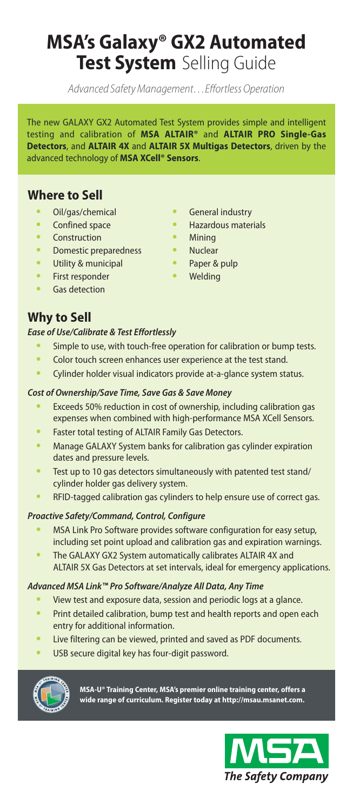## **MSA's Galaxy® GX2 Automated Test System** Selling Guide

Advanced Safety Management…Effortless Operation

The new GALAXY GX2 Automated Test System provides simple and intelligent testing and calibration of **MSA ALTAIR®** and **ALTAIR PRO Single-Gas Detectors**, and **ALTAIR 4X** and **ALTAIR 5X Multigas Detectors**, driven by the advanced technology of **MSA XCell® Sensors**.

### **Where to Sell**

- **•** Oil/gas/chemical
- **•** Confined space
- **•** Construction
- **•** Domestic preparedness
- **•** Utility & municipal
- **•** First responder
- **•** Gas detection
- **•** General industry
- **•** Hazardous materials
- **•** Mining
- **•** Nuclear
	- **•** Paper & pulp
- **•** Welding

**Why to Sell**

#### *Ease of Use/Calibrate & Test Effortlessly*

- **•** Simple to use, with touch-free operation for calibration or bump tests.
- **•** Color touch screen enhances user experience at the test stand.
- **•** Cylinder holder visual indicators provide at-a-glance system status.

#### *Cost of Ownership/Save Time, Save Gas & Save Money*

- **•** Exceeds 50% reduction in cost of ownership, including calibration gas expenses when combined with high-performance MSA XCell Sensors.
- **•** Faster total testing of ALTAIR Family Gas Detectors.
- **•** Manage GALAXY System banks for calibration gas cylinder expiration dates and pressure levels.
- **•** Test up to 10 gas detectors simultaneously with patented test stand/ cylinder holder gas delivery system.
- **•** RFID-tagged calibration gas cylinders to help ensure use of correct gas.

#### *Proactive Safety/Command, Control, Configure*

- **•** MSA Link Pro Software provides software configuration for easy setup, including set point upload and calibration gas and expiration warnings.
- **•** The GALAXY GX2 System automatically calibrates ALTAIR 4X and ALTAIR 5X Gas Detectors at set intervals, ideal for emergency applications.

#### *Advanced MSA Link™ Pro Software/Analyze All Data, Any Time*

- **•** View test and exposure data, session and periodic logs at a glance.
- **•** Print detailed calibration, bump test and health reports and open each entry for additional information.
- **•** Live filtering can be viewed, printed and saved as PDF documents.
- **•** USB secure digital key has four-digit password.



**MSA-U® Training Center, MSA's premier online training center, offers a wide range of curriculum. Register today at http://msau.msanet.com.**